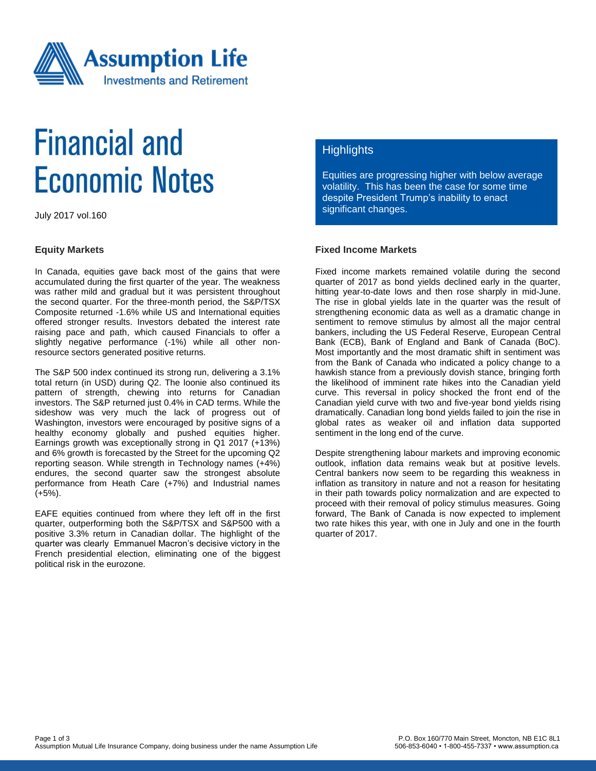

# **Financial and Economic Notes**

July 2017 vol.160

#### **Equity Markets**

In Canada, equities gave back most of the gains that were accumulated during the first quarter of the year. The weakness was rather mild and gradual but it was persistent throughout the second quarter. For the three-month period, the S&P/TSX Composite returned -1.6% while US and International equities offered stronger results. Investors debated the interest rate raising pace and path, which caused Financials to offer a slightly negative performance (-1%) while all other nonresource sectors generated positive returns.

The S&P 500 index continued its strong run, delivering a 3.1% total return (in USD) during Q2. The loonie also continued its pattern of strength, chewing into returns for Canadian investors. The S&P returned just 0.4% in CAD terms. While the sideshow was very much the lack of progress out of Washington, investors were encouraged by positive signs of a healthy economy globally and pushed equities higher. Earnings growth was exceptionally strong in Q1 2017 (+13%) and 6% growth is forecasted by the Street for the upcoming Q2 reporting season. While strength in Technology names (+4%) endures, the second quarter saw the strongest absolute performance from Heath Care (+7%) and Industrial names (+5%).

EAFE equities continued from where they left off in the first quarter, outperforming both the S&P/TSX and S&P500 with a positive 3.3% return in Canadian dollar. The highlight of the quarter was clearly Emmanuel Macron's decisive victory in the French presidential election, eliminating one of the biggest political risk in the eurozone.

### **Highlights**

Equities are progressing higher with below average volatility. This has been the case for some time despite President Trump's inability to enact significant changes.

### **Fixed Income Markets**

Fixed income markets remained volatile during the second quarter of 2017 as bond yields declined early in the quarter, hitting year-to-date lows and then rose sharply in mid-June. The rise in global yields late in the quarter was the result of strengthening economic data as well as a dramatic change in sentiment to remove stimulus by almost all the major central bankers, including the US Federal Reserve, European Central Bank (ECB), Bank of England and Bank of Canada (BoC). Most importantly and the most dramatic shift in sentiment was from the Bank of Canada who indicated a policy change to a hawkish stance from a previously dovish stance, bringing forth the likelihood of imminent rate hikes into the Canadian yield curve. This reversal in policy shocked the front end of the Canadian yield curve with two and five-year bond yields rising dramatically. Canadian long bond yields failed to join the rise in global rates as weaker oil and inflation data supported sentiment in the long end of the curve.

Despite strengthening labour markets and improving economic outlook, inflation data remains weak but at positive levels. Central bankers now seem to be regarding this weakness in inflation as transitory in nature and not a reason for hesitating in their path towards policy normalization and are expected to proceed with their removal of policy stimulus measures. Going forward, The Bank of Canada is now expected to implement two rate hikes this year, with one in July and one in the fourth quarter of 2017.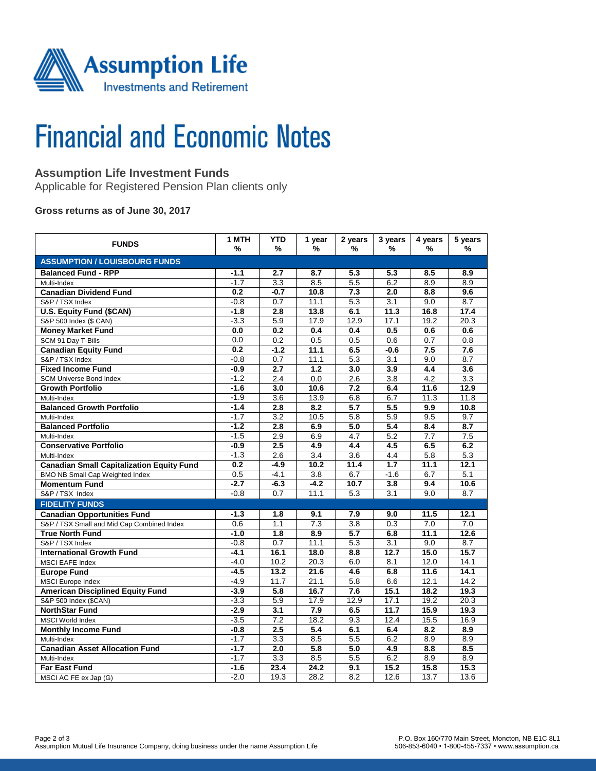

# **Financial and Economic Notes**

### **Assumption Life Investment Funds**

Applicable for Registered Pension Plan clients only

**Gross returns as of June 30, 2017**

| <b>FUNDS</b>                                     | 1 MTH<br>% | <b>YTD</b><br>%  | 1 year<br>%      | 2 years<br>%     | 3 years<br>%     | 4 years<br>℅ | 5 years<br>%     |  |  |  |  |
|--------------------------------------------------|------------|------------------|------------------|------------------|------------------|--------------|------------------|--|--|--|--|
| <b>ASSUMPTION / LOUISBOURG FUNDS</b>             |            |                  |                  |                  |                  |              |                  |  |  |  |  |
| <b>Balanced Fund - RPP</b>                       | $-1.1$     | 2.7              | 8.7              | 5.3              | 5.3              | 8.5          | 8.9              |  |  |  |  |
| Multi-Index                                      | $-1.7$     | $\overline{3.3}$ | 8.5              | 5.5              | 6.2              | 8.9          | 8.9              |  |  |  |  |
| <b>Canadian Dividend Fund</b>                    | 0.2        | $-0.7$           | 10.8             | 7.3              | 2.0              | 8.8          | 9.6              |  |  |  |  |
| S&P / TSX Index                                  | $-0.8$     | 0.7              | 11.1             | 5.3              | 3.1              | 9.0          | 8.7              |  |  |  |  |
| <b>U.S. Equity Fund (\$CAN)</b>                  | $-1.8$     | 2.8              | 13.8             | 6.1              | 11.3             | 16.8         | 17.4             |  |  |  |  |
| S&P 500 Index (\$ CAN)                           | $-3.3$     | 5.9              | 17.9             | 12.9             | 17.1             | 19.2         | 20.3             |  |  |  |  |
| <b>Money Market Fund</b>                         | 0.0        | 0.2              | 0.4              | 0.4              | 0.5              | 0.6          | 0.6              |  |  |  |  |
| SCM 91 Day T-Bills                               | 0.0        | 0.2              | 0.5              | 0.5              | 0.6              | 0.7          | 0.8              |  |  |  |  |
| <b>Canadian Equity Fund</b>                      | 0.2        | $-1.2$           | 11.1             | 6.5              | $-0.6$           | 7.5          | 7.6              |  |  |  |  |
| S&P / TSX Index                                  | $-0.8$     | 0.7              | 11.1             | 5.3              | 3.1              | 9.0          | 8.7              |  |  |  |  |
| <b>Fixed Income Fund</b>                         | $-0.9$     | $\overline{2.7}$ | 1.2              | 3.0              | 3.9              | 4.4          | 3.6              |  |  |  |  |
| <b>SCM Universe Bond Index</b>                   | $-1.2$     | 2.4              | 0.0              | 2.6              | $\overline{3.8}$ | 4.2          | 3.3              |  |  |  |  |
| <b>Growth Portfolio</b>                          | $-1.6$     | 3.0              | 10.6             | 7.2              | 6.4              | 11.6         | 12.9             |  |  |  |  |
| Multi-Index                                      | $-1.9$     | 3.6              | 13.9             | 6.8              | 6.7              | 11.3         | 11.8             |  |  |  |  |
| <b>Balanced Growth Portfolio</b>                 | $-1.4$     | 2.8              | 8.2              | 5.7              | 5.5              | 9.9          | 10.8             |  |  |  |  |
| Multi-Index                                      | $-1.7$     | $\overline{3.2}$ | 10.5             | 5.8              | 5.9              | 9.5          | 9.7              |  |  |  |  |
| <b>Balanced Portfolio</b>                        | $-1.2$     | $\overline{2.8}$ | 6.9              | $\overline{5.0}$ | $\overline{5.4}$ | 8.4          | $\overline{8.7}$ |  |  |  |  |
| Multi-Index                                      | $-1.5$     | 2.9              | 6.9              | 4.7              | 5.2              | 7.7          | 7.5              |  |  |  |  |
| <b>Conservative Portfolio</b>                    | $-0.9$     | 2.5              | 4.9              | 4.4              | 4.5              | 6.5          | 6.2              |  |  |  |  |
| Multi-Index                                      | $-1.3$     | 2.6              | $\overline{3.4}$ | $\overline{3.6}$ | 4.4              | 5.8          | 5.3              |  |  |  |  |
| <b>Canadian Small Capitalization Equity Fund</b> | 0.2        | $-4.9$           | 10.2             | 11.4             | $\overline{1.7}$ | 11.1         | 12.1             |  |  |  |  |
| <b>BMO NB Small Cap Weighted Index</b>           | 0.5        | $-4.1$           | $\overline{3.8}$ | 6.7              | $-1.6$           | 6.7          | 5.1              |  |  |  |  |
| <b>Momentum Fund</b>                             | $-2.7$     | $-6.3$           | $-4.2$           | 10.7             | 3.8              | 9.4          | 10.6             |  |  |  |  |
| S&P / TSX Index                                  | $-0.8$     | 0.7              | 11.1             | 5.3              | $\overline{3.1}$ | 9.0          | 8.7              |  |  |  |  |
| <b>FIDELITY FUNDS</b>                            |            |                  |                  |                  |                  |              |                  |  |  |  |  |
| <b>Canadian Opportunities Fund</b>               | $-1.3$     | 1.8              | 9.1              | 7.9              | 9.0              | 11.5         | 12.1             |  |  |  |  |
| S&P / TSX Small and Mid Cap Combined Index       | 0.6        | 1.1              | 7.3              | $\overline{3.8}$ | $\overline{0.3}$ | 7.0          | $\overline{7.0}$ |  |  |  |  |
| <b>True North Fund</b>                           | $-1.0$     | 1.8              | 8.9              | 5.7              | 6.8              | 11.1         | 12.6             |  |  |  |  |
| S&P / TSX Index                                  | $-0.8$     | 0.7              | 11.1             | 5.3              | $\overline{3.1}$ | 9.0          | 8.7              |  |  |  |  |
| <b>International Growth Fund</b>                 | $-4.1$     | 16.1             | 18.0             | 8.8              | 12.7             | 15.0         | 15.7             |  |  |  |  |
| MSCI EAFE Index                                  | $-4.0$     | 10.2             | 20.3             | 6.0              | 8.1              | 12.0         | 14.1             |  |  |  |  |
| <b>Europe Fund</b>                               | $-4.5$     | 13.2             | 21.6             | 4.6              | 6.8              | 11.6         | 14.1             |  |  |  |  |
| <b>MSCI</b> Europe Index                         | $-4.9$     | 11.7             | 21.1             | 5.8              | 6.6              | 12.1         | 14.2             |  |  |  |  |
| <b>American Disciplined Equity Fund</b>          | $-3.9$     | 5.8              | 16.7             | 7.6              | 15.1             | 18.2         | 19.3             |  |  |  |  |
| S&P 500 Index (\$CAN)                            | $-3.3$     | 5.9              | 17.9             | 12.9             | 17.1             | 19.2         | 20.3             |  |  |  |  |
| <b>NorthStar Fund</b>                            | $-2.9$     | 3.1              | 7.9              | 6.5              | 11.7             | 15.9         | 19.3             |  |  |  |  |
| <b>MSCI World Index</b>                          | $-3.5$     | 7.2              | 18.2             | 9.3              | 12.4             | 15.5         | 16.9             |  |  |  |  |
| <b>Monthly Income Fund</b>                       | $-0.8$     | 2.5              | 5.4              | 6.1              | 6.4              | 8.2          | 8.9              |  |  |  |  |
| Multi-Index                                      | $-1.7$     | 3.3              | 8.5              | 5.5              | 6.2              | 8.9          | 8.9              |  |  |  |  |
| <b>Canadian Asset Allocation Fund</b>            | $-1.7$     | 2.0              | 5.8              | 5.0              | 4.9              | 8.8          | 8.5              |  |  |  |  |
| Multi-Index                                      | $-1.7$     | 3.3              | 8.5              | 5.5              | 6.2              | 8.9          | 8.9              |  |  |  |  |
| <b>Far East Fund</b>                             | $-1.6$     | 23.4             | 24.2             | 9.1              | 15.2             | 15.8         | 15.3             |  |  |  |  |
| MSCI AC FE ex Jap (G)                            | $-2.0$     | 19.3             | 28.2             | 8.2              | 12.6             | 13.7         | 13.6             |  |  |  |  |